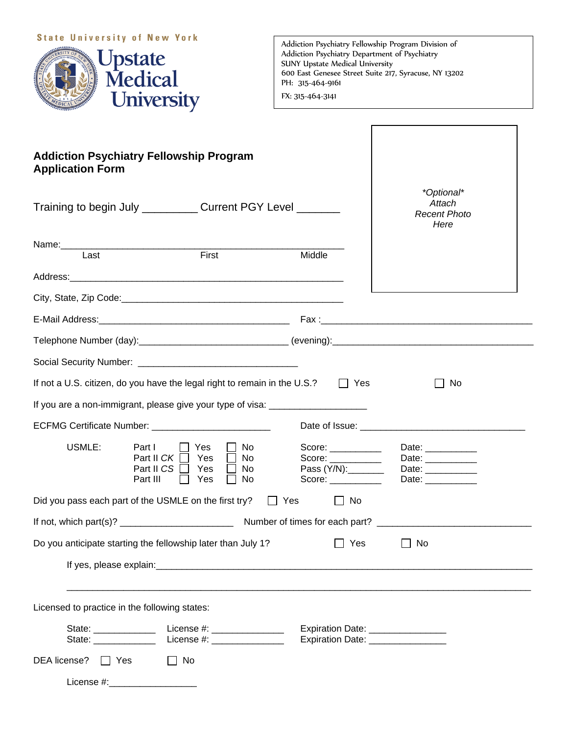## **State University of New York**



Addiction Psychiatry Fellowship Program Division of Addiction Psychiatry Department of Psychiatry SUNY Upstate Medical University 600 East Genesee Street Suite 217, Syracuse, NY 13202 PH: 315-464-9161 FX: 315-464-3141

| <b>Addiction Psychiatry Fellowship Program</b><br><b>Application Form</b> |                                                                                                       |                                                              |                                                                                  |
|---------------------------------------------------------------------------|-------------------------------------------------------------------------------------------------------|--------------------------------------------------------------|----------------------------------------------------------------------------------|
|                                                                           | Training to begin July Current PGY Level                                                              |                                                              | *Optional*<br>Attach<br><b>Recent Photo</b><br>Here                              |
|                                                                           |                                                                                                       |                                                              |                                                                                  |
| Last                                                                      | First                                                                                                 | Middle                                                       |                                                                                  |
|                                                                           |                                                                                                       |                                                              |                                                                                  |
|                                                                           |                                                                                                       |                                                              |                                                                                  |
|                                                                           |                                                                                                       |                                                              |                                                                                  |
|                                                                           |                                                                                                       |                                                              |                                                                                  |
|                                                                           |                                                                                                       |                                                              |                                                                                  |
|                                                                           | If not a U.S. citizen, do you have the legal right to remain in the U.S.?                             | $\Box$ Yes                                                   | No                                                                               |
|                                                                           | If you are a non-immigrant, please give your type of visa: _____________________                      |                                                              |                                                                                  |
|                                                                           | ECFMG Certificate Number: ___________________________                                                 |                                                              |                                                                                  |
| USMLE:                                                                    | Part I<br>Yes<br>No<br>Part II CK<br>Yes<br>No.<br>Part II CS<br>Yes<br>No.<br>Part III<br>Yes<br>No. | Score: ___________<br>Score:<br>Pass (Y/N):_______<br>Score: | Date: ___________<br>Date: ___________<br>Date: ___________<br>Date: ___________ |
|                                                                           | Did you pass each part of the USMLE on the first try? $\Box$ Yes                                      | $\Box$ No                                                    |                                                                                  |
|                                                                           |                                                                                                       |                                                              |                                                                                  |
|                                                                           | Do you anticipate starting the fellowship later than July 1?                                          | ∐ Yes                                                        | $\Box$ No                                                                        |
|                                                                           |                                                                                                       |                                                              |                                                                                  |
| Licensed to practice in the following states:                             |                                                                                                       |                                                              |                                                                                  |
|                                                                           |                                                                                                       | Expiration Date: ________________                            |                                                                                  |
|                                                                           |                                                                                                       | Expiration Date: _________________                           |                                                                                  |
| DEA license?   Yes                                                        | $\Box$ No                                                                                             |                                                              |                                                                                  |
| License #:______________________                                          |                                                                                                       |                                                              |                                                                                  |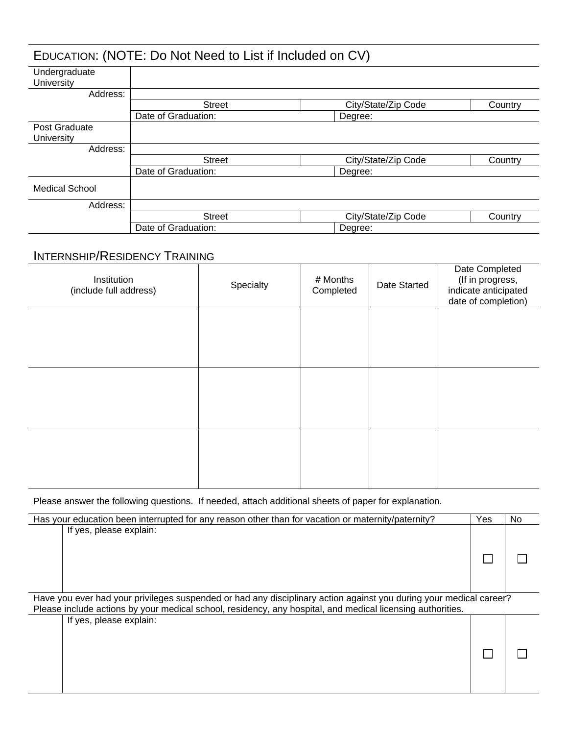|                             | EDUCATION: (NOTE: Do Not Need to List if Included on CV) |                                |         |
|-----------------------------|----------------------------------------------------------|--------------------------------|---------|
| Undergraduate<br>University |                                                          |                                |         |
| Address:                    |                                                          |                                |         |
|                             | <b>Street</b>                                            | City/State/Zip Code            | Country |
|                             | Date of Graduation:                                      | Degree:                        |         |
| Post Graduate<br>University |                                                          |                                |         |
| Address:                    |                                                          |                                |         |
|                             | <b>Street</b>                                            | City/State/Zip Code            | Country |
|                             | Date of Graduation:                                      | Degree:                        |         |
| <b>Medical School</b>       |                                                          |                                |         |
| Address:                    |                                                          |                                |         |
|                             | <b>Street</b>                                            | City/State/Zip Code<br>Country |         |
|                             | Date of Graduation:                                      | Degree:                        |         |

## INTERNSHIP/RESIDENCY TRAINING

| Institution<br>(include full address) | Specialty | # Months<br>Completed | Date Started | Date Completed<br>(If in progress,<br>indicate anticipated<br>date of completion) |
|---------------------------------------|-----------|-----------------------|--------------|-----------------------------------------------------------------------------------|
|                                       |           |                       |              |                                                                                   |
|                                       |           |                       |              |                                                                                   |
|                                       |           |                       |              |                                                                                   |
|                                       |           |                       |              |                                                                                   |
|                                       |           |                       |              |                                                                                   |

Please answer the following questions. If needed, attach additional sheets of paper for explanation.

| Has your education been interrupted for any reason other than for vacation or maternity/paternity?                 |  | No. |
|--------------------------------------------------------------------------------------------------------------------|--|-----|
| If yes, please explain:                                                                                            |  |     |
| Have you ever had your privileges suspended or had any disciplinary action against you during your medical career? |  |     |
| Please include actions by your medical school, residency, any hospital, and medical licensing authorities.         |  |     |
| If yes, please explain:                                                                                            |  |     |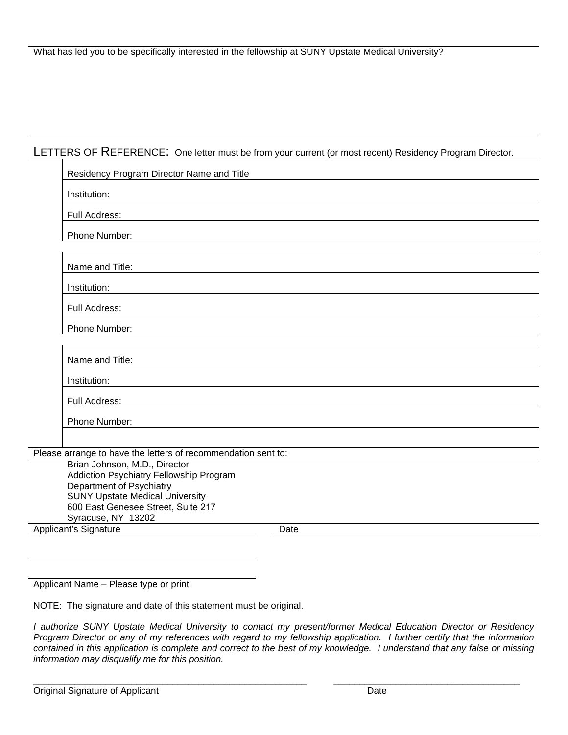## LETTERS OF REFERENCE: One letter must be from your current (or most recent) Residency Program Director.

| Residency Program Director Name and Title                                |      |  |  |
|--------------------------------------------------------------------------|------|--|--|
| Institution:                                                             |      |  |  |
| Full Address:                                                            |      |  |  |
| Phone Number:                                                            |      |  |  |
| Name and Title:                                                          |      |  |  |
| Institution:                                                             |      |  |  |
| Full Address:                                                            |      |  |  |
| Phone Number:                                                            |      |  |  |
| Name and Title:                                                          |      |  |  |
| Institution:                                                             |      |  |  |
| Full Address:                                                            |      |  |  |
| Phone Number:                                                            |      |  |  |
| Please arrange to have the letters of recommendation sent to:            |      |  |  |
| Brian Johnson, M.D., Director<br>Addiction Psychiatry Fellowship Program |      |  |  |
| Department of Psychiatry<br><b>SUNY Upstate Medical University</b>       |      |  |  |
| 600 East Genesee Street, Suite 217<br>Syracuse, NY 13202                 |      |  |  |
| Applicant's Signature                                                    | Date |  |  |

Applicant Name – Please type or print

NOTE: The signature and date of this statement must be original.

*I authorize SUNY Upstate Medical University to contact my present/former Medical Education Director or Residency Program Director or any of my references with regard to my fellowship application. I further certify that the information contained in this application is complete and correct to the best of my knowledge. I understand that any false or missing information may disqualify me for this position.* 

\_\_\_\_\_\_\_\_\_\_\_\_\_\_\_\_\_\_\_\_\_\_\_\_\_\_\_\_\_\_\_\_\_\_\_\_\_\_\_\_\_\_\_\_\_\_\_\_\_\_\_\_\_ \_\_\_\_\_\_\_\_\_\_\_\_\_\_\_\_\_\_\_\_\_\_\_\_\_\_\_\_\_\_\_\_\_\_\_\_